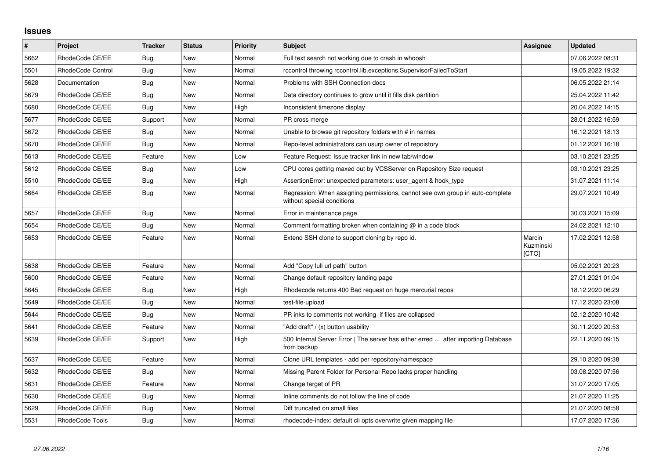## **Issues**

| $\vert$ # | <b>Project</b>    | <b>Tracker</b> | <b>Status</b> | <b>Priority</b> | <b>Subject</b>                                                                                              | Assignee                     | <b>Updated</b>   |
|-----------|-------------------|----------------|---------------|-----------------|-------------------------------------------------------------------------------------------------------------|------------------------------|------------------|
| 5662      | RhodeCode CE/EE   | Bug            | <b>New</b>    | Normal          | Full text search not working due to crash in whoosh                                                         |                              | 07.06.2022 08:31 |
| 5501      | RhodeCode Control | <b>Bug</b>     | <b>New</b>    | Normal          | rccontrol throwing rccontrol.lib.exceptions.SupervisorFailedToStart                                         |                              | 19.05.2022 19:32 |
| 5628      | Documentation     | Bug            | <b>New</b>    | Normal          | Problems with SSH Connection docs                                                                           |                              | 06.05.2022 21:14 |
| 5679      | RhodeCode CE/EE   | Bug            | <b>New</b>    | Normal          | Data directory continues to grow until it fills disk partition                                              |                              | 25.04.2022 11:42 |
| 5680      | RhodeCode CE/EE   | Bug            | <b>New</b>    | High            | Inconsistent timezone display                                                                               |                              | 20.04.2022 14:15 |
| 5677      | RhodeCode CE/EE   | Support        | <b>New</b>    | Normal          | PR cross merge                                                                                              |                              | 28.01.2022 16:59 |
| 5672      | RhodeCode CE/EE   | <b>Bug</b>     | <b>New</b>    | Normal          | Unable to browse git repository folders with # in names                                                     |                              | 16.12.2021 18:13 |
| 5670      | RhodeCode CE/EE   | Bug            | <b>New</b>    | Normal          | Repo-level administrators can usurp owner of repoistory                                                     |                              | 01.12.2021 16:18 |
| 5613      | RhodeCode CE/EE   | Feature        | <b>New</b>    | Low             | Feature Request: Issue tracker link in new tab/window                                                       |                              | 03.10.2021 23:25 |
| 5612      | RhodeCode CE/EE   | Bug            | New           | Low             | CPU cores getting maxed out by VCSServer on Repository Size request                                         |                              | 03.10.2021 23:25 |
| 5510      | RhodeCode CE/EE   | Bug            | New           | High            | AssertionError: unexpected parameters: user agent & hook type                                               |                              | 31.07.2021 11:14 |
| 5664      | RhodeCode CE/EE   | Bug            | New           | Normal          | Regression: When assigning permissions, cannot see own group in auto-complete<br>without special conditions |                              | 29.07.2021 10:49 |
| 5657      | RhodeCode CE/EE   | Bug            | <b>New</b>    | Normal          | Error in maintenance page                                                                                   |                              | 30.03.2021 15:09 |
| 5654      | RhodeCode CE/EE   | Bug            | New           | Normal          | Comment formatting broken when containing $@$ in a code block                                               |                              | 24.02.2021 12:10 |
| 5653      | RhodeCode CE/EE   | Feature        | <b>New</b>    | Normal          | Extend SSH clone to support cloning by repo id.                                                             | Marcin<br>Kuzminski<br>[CTO] | 17.02.2021 12:58 |
| 5638      | RhodeCode CE/EE   | Feature        | <b>New</b>    | Normal          | Add "Copy full url path" button                                                                             |                              | 05.02.2021 20:23 |
| 5600      | RhodeCode CE/EE   | Feature        | <b>New</b>    | Normal          | Change default repository landing page                                                                      |                              | 27.01.2021 01:04 |
| 5645      | RhodeCode CE/EE   | Bug            | <b>New</b>    | High            | Rhodecode returns 400 Bad request on huge mercurial repos                                                   |                              | 18.12.2020 06:29 |
| 5649      | RhodeCode CE/EE   | Bug            | <b>New</b>    | Normal          | test-file-upload                                                                                            |                              | 17.12.2020 23:08 |
| 5644      | RhodeCode CE/EE   | Bug            | <b>New</b>    | Normal          | PR inks to comments not working if files are collapsed                                                      |                              | 02.12.2020 10:42 |
| 5641      | RhodeCode CE/EE   | Feature        | <b>New</b>    | Normal          | "Add draft" / (x) button usability                                                                          |                              | 30.11.2020 20:53 |
| 5639      | RhodeCode CE/EE   | Support        | <b>New</b>    | High            | 500 Internal Server Error   The server has either erred  after importing Database<br>from backup            |                              | 22.11.2020 09:15 |
| 5637      | RhodeCode CE/EE   | Feature        | <b>New</b>    | Normal          | Clone URL templates - add per repository/namespace                                                          |                              | 29.10.2020 09:38 |
| 5632      | RhodeCode CE/EE   | Bug            | <b>New</b>    | Normal          | Missing Parent Folder for Personal Repo lacks proper handling                                               |                              | 03.08.2020 07:56 |
| 5631      | RhodeCode CE/EE   | Feature        | <b>New</b>    | Normal          | Change target of PR                                                                                         |                              | 31.07.2020 17:05 |
| 5630      | RhodeCode CE/EE   | Bug            | <b>New</b>    | Normal          | Inline comments do not follow the line of code                                                              |                              | 21.07.2020 11:25 |
| 5629      | RhodeCode CE/EE   | Bug            | New           | Normal          | Diff truncated on small files                                                                               |                              | 21.07.2020 08:58 |
| 5531      | RhodeCode Tools   | <b>Bug</b>     | <b>New</b>    | Normal          | rhodecode-index: default cli opts overwrite given mapping file                                              |                              | 17.07.2020 17:36 |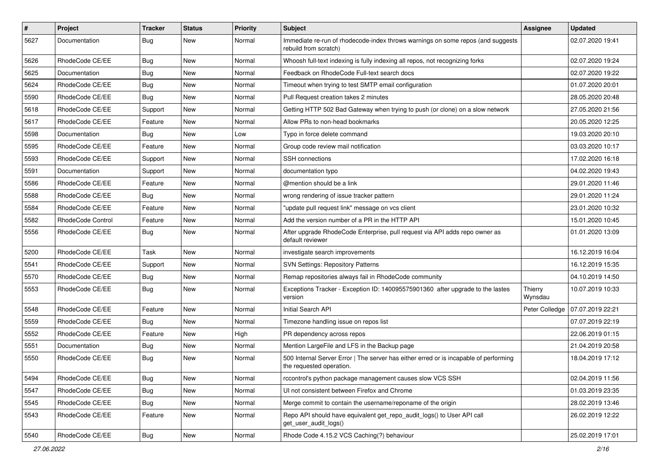| $\sharp$ | Project           | <b>Tracker</b> | <b>Status</b> | <b>Priority</b> | <b>Subject</b>                                                                                                    | <b>Assignee</b>    | <b>Updated</b>   |
|----------|-------------------|----------------|---------------|-----------------|-------------------------------------------------------------------------------------------------------------------|--------------------|------------------|
| 5627     | Documentation     | Bug            | New           | Normal          | Immediate re-run of rhodecode-index throws warnings on some repos (and suggests<br>rebuild from scratch)          |                    | 02.07.2020 19:41 |
| 5626     | RhodeCode CE/EE   | Bug            | <b>New</b>    | Normal          | Whoosh full-text indexing is fully indexing all repos, not recognizing forks                                      |                    | 02.07.2020 19:24 |
| 5625     | Documentation     | Bug            | New           | Normal          | Feedback on RhodeCode Full-text search docs                                                                       |                    | 02.07.2020 19:22 |
| 5624     | RhodeCode CE/EE   | Bug            | <b>New</b>    | Normal          | Timeout when trying to test SMTP email configuration                                                              |                    | 01.07.2020 20:01 |
| 5590     | RhodeCode CE/EE   | Bug            | New           | Normal          | Pull Request creation takes 2 minutes                                                                             |                    | 28.05.2020 20:48 |
| 5618     | RhodeCode CE/EE   | Support        | New           | Normal          | Getting HTTP 502 Bad Gateway when trying to push (or clone) on a slow network                                     |                    | 27.05.2020 21:56 |
| 5617     | RhodeCode CE/EE   | Feature        | <b>New</b>    | Normal          | Allow PRs to non-head bookmarks                                                                                   |                    | 20.05.2020 12:25 |
| 5598     | Documentation     | Bug            | New           | Low             | Typo in force delete command                                                                                      |                    | 19.03.2020 20:10 |
| 5595     | RhodeCode CE/EE   | Feature        | <b>New</b>    | Normal          | Group code review mail notification                                                                               |                    | 03.03.2020 10:17 |
| 5593     | RhodeCode CE/EE   | Support        | New           | Normal          | <b>SSH</b> connections                                                                                            |                    | 17.02.2020 16:18 |
| 5591     | Documentation     | Support        | New           | Normal          | documentation typo                                                                                                |                    | 04.02.2020 19:43 |
| 5586     | RhodeCode CE/EE   | Feature        | <b>New</b>    | Normal          | @mention should be a link                                                                                         |                    | 29.01.2020 11:46 |
| 5588     | RhodeCode CE/EE   | Bug            | New           | Normal          | wrong rendering of issue tracker pattern                                                                          |                    | 29.01.2020 11:24 |
| 5584     | RhodeCode CE/EE   | Feature        | New           | Normal          | "update pull request link" message on vcs client                                                                  |                    | 23.01.2020 10:32 |
| 5582     | RhodeCode Control | Feature        | New           | Normal          | Add the version number of a PR in the HTTP API                                                                    |                    | 15.01.2020 10:45 |
| 5556     | RhodeCode CE/EE   | Bug            | New           | Normal          | After upgrade RhodeCode Enterprise, pull request via API adds repo owner as<br>default reviewer                   |                    | 01.01.2020 13:09 |
| 5200     | RhodeCode CE/EE   | Task           | <b>New</b>    | Normal          | investigate search improvements                                                                                   |                    | 16.12.2019 16:04 |
| 5541     | RhodeCode CE/EE   | Support        | New           | Normal          | <b>SVN Settings: Repository Patterns</b>                                                                          |                    | 16.12.2019 15:35 |
| 5570     | RhodeCode CE/EE   | Bug            | <b>New</b>    | Normal          | Remap repositories always fail in RhodeCode community                                                             |                    | 04.10.2019 14:50 |
| 5553     | RhodeCode CE/EE   | Bug            | New           | Normal          | Exceptions Tracker - Exception ID: 140095575901360 after upgrade to the lastes<br>version                         | Thierry<br>Wynsdau | 10.07.2019 10:33 |
| 5548     | RhodeCode CE/EE   | Feature        | New           | Normal          | Initial Search API                                                                                                | Peter Colledge     | 07.07.2019 22:21 |
| 5559     | RhodeCode CE/EE   | Bug            | <b>New</b>    | Normal          | Timezone handling issue on repos list                                                                             |                    | 07.07.2019 22:19 |
| 5552     | RhodeCode CE/EE   | Feature        | <b>New</b>    | High            | PR dependency across repos                                                                                        |                    | 22.06.2019 01:15 |
| 5551     | Documentation     | Bug            | New           | Normal          | Mention LargeFile and LFS in the Backup page                                                                      |                    | 21.04.2019 20:58 |
| 5550     | RhodeCode CE/EE   | Bug            | New           | Normal          | 500 Internal Server Error   The server has either erred or is incapable of performing<br>the requested operation. |                    | 18.04.2019 17:12 |
| 5494     | RhodeCode CE/EE   | Bug            | New           | Normal          | rccontrol's python package management causes slow VCS SSH                                                         |                    | 02.04.2019 11:56 |
| 5547     | RhodeCode CE/EE   | Bug            | <b>New</b>    | Normal          | UI not consistent between Firefox and Chrome                                                                      |                    | 01.03.2019 23:35 |
| 5545     | RhodeCode CE/EE   | Bug            | New           | Normal          | Merge commit to contain the username/reponame of the origin                                                       |                    | 28.02.2019 13:46 |
| 5543     | RhodeCode CE/EE   | Feature        | New           | Normal          | Repo API should have equivalent get_repo_audit_logs() to User API call<br>get user audit logs()                   |                    | 26.02.2019 12:22 |
| 5540     | RhodeCode CE/EE   | <b>Bug</b>     | New           | Normal          | Rhode Code 4.15.2 VCS Caching(?) behaviour                                                                        |                    | 25.02.2019 17:01 |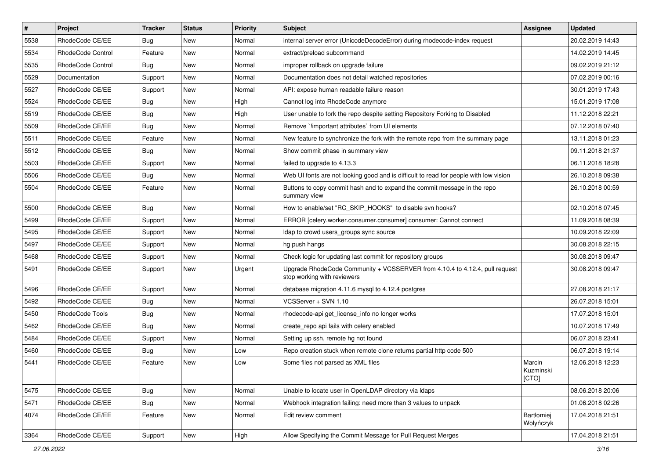| $\pmb{\#}$ | <b>Project</b>           | <b>Tracker</b> | <b>Status</b> | <b>Priority</b> | <b>Subject</b>                                                                                             | <b>Assignee</b>              | <b>Updated</b>   |
|------------|--------------------------|----------------|---------------|-----------------|------------------------------------------------------------------------------------------------------------|------------------------------|------------------|
| 5538       | RhodeCode CE/EE          | Bug            | New           | Normal          | internal server error (UnicodeDecodeError) during rhodecode-index request                                  |                              | 20.02.2019 14:43 |
| 5534       | <b>RhodeCode Control</b> | Feature        | <b>New</b>    | Normal          | extract/preload subcommand                                                                                 |                              | 14.02.2019 14:45 |
| 5535       | RhodeCode Control        | Bug            | New           | Normal          | improper rollback on upgrade failure                                                                       |                              | 09.02.2019 21:12 |
| 5529       | Documentation            | Support        | New           | Normal          | Documentation does not detail watched repositories                                                         |                              | 07.02.2019 00:16 |
| 5527       | RhodeCode CE/EE          | Support        | <b>New</b>    | Normal          | API: expose human readable failure reason                                                                  |                              | 30.01.2019 17:43 |
| 5524       | RhodeCode CE/EE          | Bug            | New           | High            | Cannot log into RhodeCode anymore                                                                          |                              | 15.01.2019 17:08 |
| 5519       | RhodeCode CE/EE          | Bug            | New           | High            | User unable to fork the repo despite setting Repository Forking to Disabled                                |                              | 11.12.2018 22:21 |
| 5509       | RhodeCode CE/EE          | Bug            | New           | Normal          | Remove `limportant attributes` from UI elements                                                            |                              | 07.12.2018 07:40 |
| 5511       | RhodeCode CE/EE          | Feature        | New           | Normal          | New feature to synchronize the fork with the remote repo from the summary page                             |                              | 13.11.2018 01:23 |
| 5512       | RhodeCode CE/EE          | <b>Bug</b>     | <b>New</b>    | Normal          | Show commit phase in summary view                                                                          |                              | 09.11.2018 21:37 |
| 5503       | RhodeCode CE/EE          | Support        | New           | Normal          | failed to upgrade to 4.13.3                                                                                |                              | 06.11.2018 18:28 |
| 5506       | RhodeCode CE/EE          | Bug            | New           | Normal          | Web UI fonts are not looking good and is difficult to read for people with low vision                      |                              | 26.10.2018 09:38 |
| 5504       | RhodeCode CE/EE          | Feature        | New           | Normal          | Buttons to copy commit hash and to expand the commit message in the repo<br>summary view                   |                              | 26.10.2018 00:59 |
| 5500       | RhodeCode CE/EE          | Bug            | <b>New</b>    | Normal          | How to enable/set "RC_SKIP_HOOKS" to disable svn hooks?                                                    |                              | 02.10.2018 07:45 |
| 5499       | RhodeCode CE/EE          | Support        | New           | Normal          | ERROR [celery.worker.consumer.consumer] consumer: Cannot connect                                           |                              | 11.09.2018 08:39 |
| 5495       | RhodeCode CE/EE          | Support        | New           | Normal          | Idap to crowd users groups sync source                                                                     |                              | 10.09.2018 22:09 |
| 5497       | RhodeCode CE/EE          | Support        | <b>New</b>    | Normal          | hg push hangs                                                                                              |                              | 30.08.2018 22:15 |
| 5468       | RhodeCode CE/EE          | Support        | New           | Normal          | Check logic for updating last commit for repository groups                                                 |                              | 30.08.2018 09:47 |
| 5491       | RhodeCode CE/EE          | Support        | New           | Urgent          | Upgrade RhodeCode Community + VCSSERVER from 4.10.4 to 4.12.4, pull request<br>stop working with reviewers |                              | 30.08.2018 09:47 |
| 5496       | RhodeCode CE/EE          | Support        | <b>New</b>    | Normal          | database migration 4.11.6 mysql to 4.12.4 postgres                                                         |                              | 27.08.2018 21:17 |
| 5492       | RhodeCode CE/EE          | Bug            | <b>New</b>    | Normal          | VCSServer + SVN 1.10                                                                                       |                              | 26.07.2018 15:01 |
| 5450       | RhodeCode Tools          | Bug            | New           | Normal          | rhodecode-api get license info no longer works                                                             |                              | 17.07.2018 15:01 |
| 5462       | RhodeCode CE/EE          | <b>Bug</b>     | New           | Normal          | create repo api fails with celery enabled                                                                  |                              | 10.07.2018 17:49 |
| 5484       | RhodeCode CE/EE          | Support        | <b>New</b>    | Normal          | Setting up ssh, remote hg not found                                                                        |                              | 06.07.2018 23:41 |
| 5460       | RhodeCode CE/EE          | Bug            | New           | Low             | Repo creation stuck when remote clone returns partial http code 500                                        |                              | 06.07.2018 19:14 |
| 5441       | RhodeCode CE/EE          | Feature        | New           | Low             | Some files not parsed as XML files                                                                         | Marcin<br>Kuzminski<br>[CTO] | 12.06.2018 12:23 |
| 5475       | RhodeCode CE/EE          | Bug            | New           | Normal          | Unable to locate user in OpenLDAP directory via Idaps                                                      |                              | 08.06.2018 20:06 |
| 5471       | RhodeCode CE/EE          | <b>Bug</b>     | New           | Normal          | Webhook integration failing: need more than 3 values to unpack                                             |                              | 01.06.2018 02:26 |
| 4074       | RhodeCode CE/EE          | Feature        | New           | Normal          | Edit review comment                                                                                        | Bartłomiej<br>Wołyńczyk      | 17.04.2018 21:51 |
| 3364       | RhodeCode CE/EE          | Support        | New           | High            | Allow Specifying the Commit Message for Pull Request Merges                                                |                              | 17.04.2018 21:51 |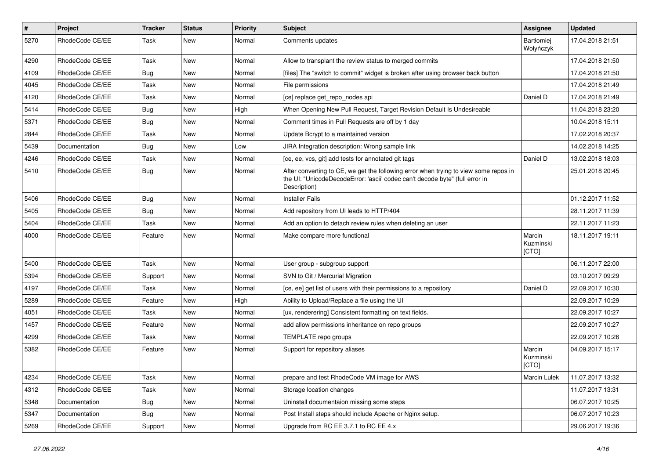| #    | Project         | <b>Tracker</b> | <b>Status</b> | <b>Priority</b> | <b>Subject</b>                                                                                                                                                                       | Assignee                       | <b>Updated</b>   |
|------|-----------------|----------------|---------------|-----------------|--------------------------------------------------------------------------------------------------------------------------------------------------------------------------------------|--------------------------------|------------------|
| 5270 | RhodeCode CE/EE | Task           | New           | Normal          | Comments updates                                                                                                                                                                     | <b>Bartłomiej</b><br>Wołyńczyk | 17.04.2018 21:51 |
| 4290 | RhodeCode CE/EE | Task           | <b>New</b>    | Normal          | Allow to transplant the review status to merged commits                                                                                                                              |                                | 17.04.2018 21:50 |
| 4109 | RhodeCode CE/EE | Bug            | <b>New</b>    | Normal          | [files] The "switch to commit" widget is broken after using browser back button                                                                                                      |                                | 17.04.2018 21:50 |
| 4045 | RhodeCode CE/EE | Task           | <b>New</b>    | Normal          | File permissions                                                                                                                                                                     |                                | 17.04.2018 21:49 |
| 4120 | RhodeCode CE/EE | Task           | New           | Normal          | [ce] replace get repo nodes api                                                                                                                                                      | Daniel D                       | 17.04.2018 21:49 |
| 5414 | RhodeCode CE/EE | Bug            | <b>New</b>    | High            | When Opening New Pull Request, Target Revision Default Is Undesireable                                                                                                               |                                | 11.04.2018 23:20 |
| 5371 | RhodeCode CE/EE | Bug            | New           | Normal          | Comment times in Pull Requests are off by 1 day                                                                                                                                      |                                | 10.04.2018 15:11 |
| 2844 | RhodeCode CE/EE | Task           | New           | Normal          | Update Bcrypt to a maintained version                                                                                                                                                |                                | 17.02.2018 20:37 |
| 5439 | Documentation   | Bug            | <b>New</b>    | Low             | JIRA Integration description: Wrong sample link                                                                                                                                      |                                | 14.02.2018 14:25 |
| 4246 | RhodeCode CE/EE | Task           | New           | Normal          | [ce, ee, vcs, git] add tests for annotated git tags                                                                                                                                  | Daniel D                       | 13.02.2018 18:03 |
| 5410 | RhodeCode CE/EE | Bug            | New           | Normal          | After converting to CE, we get the following error when trying to view some repos in<br>the UI: "UnicodeDecodeError: 'ascii' codec can't decode byte" (full error in<br>Description) |                                | 25.01.2018 20:45 |
| 5406 | RhodeCode CE/EE | Bug            | <b>New</b>    | Normal          | <b>Installer Fails</b>                                                                                                                                                               |                                | 01.12.2017 11:52 |
| 5405 | RhodeCode CE/EE | Bug            | New           | Normal          | Add repository from UI leads to HTTP/404                                                                                                                                             |                                | 28.11.2017 11:39 |
| 5404 | RhodeCode CE/EE | Task           | <b>New</b>    | Normal          | Add an option to detach review rules when deleting an user                                                                                                                           |                                | 22.11.2017 11:23 |
| 4000 | RhodeCode CE/EE | Feature        | <b>New</b>    | Normal          | Make compare more functional                                                                                                                                                         | Marcin<br>Kuzminski<br>[CTO]   | 18.11.2017 19:11 |
| 5400 | RhodeCode CE/EE | Task           | <b>New</b>    | Normal          | User group - subgroup support                                                                                                                                                        |                                | 06.11.2017 22:00 |
| 5394 | RhodeCode CE/EE | Support        | New           | Normal          | SVN to Git / Mercurial Migration                                                                                                                                                     |                                | 03.10.2017 09:29 |
| 4197 | RhodeCode CE/EE | Task           | <b>New</b>    | Normal          | [ce, ee] get list of users with their permissions to a repository                                                                                                                    | Daniel D                       | 22.09.2017 10:30 |
| 5289 | RhodeCode CE/EE | Feature        | New           | High            | Ability to Upload/Replace a file using the UI                                                                                                                                        |                                | 22.09.2017 10:29 |
| 4051 | RhodeCode CE/EE | Task           | New           | Normal          | [ux, renderering] Consistent formatting on text fields.                                                                                                                              |                                | 22.09.2017 10:27 |
| 1457 | RhodeCode CE/EE | Feature        | <b>New</b>    | Normal          | add allow permissions inheritance on repo groups                                                                                                                                     |                                | 22.09.2017 10:27 |
| 4299 | RhodeCode CE/EE | Task           | New           | Normal          | TEMPLATE repo groups                                                                                                                                                                 |                                | 22.09.2017 10:26 |
| 5382 | RhodeCode CE/EE | Feature        | New           | Normal          | Support for repository aliases                                                                                                                                                       | Marcin<br>Kuzminski<br>[CTO]   | 04.09.2017 15:17 |
| 4234 | RhodeCode CE/EE | Task           | New           | Normal          | prepare and test RhodeCode VM image for AWS                                                                                                                                          | Marcin Lulek                   | 11.07.2017 13:32 |
| 4312 | RhodeCode CE/EE | Task           | New           | Normal          | Storage location changes                                                                                                                                                             |                                | 11.07.2017 13:31 |
| 5348 | Documentation   | Bug            | New           | Normal          | Uninstall documentaion missing some steps                                                                                                                                            |                                | 06.07.2017 10:25 |
| 5347 | Documentation   | Bug            | New           | Normal          | Post Install steps should include Apache or Nginx setup.                                                                                                                             |                                | 06.07.2017 10:23 |
| 5269 | RhodeCode CE/EE | Support        | New           | Normal          | Upgrade from RC EE 3.7.1 to RC EE 4.x                                                                                                                                                |                                | 29.06.2017 19:36 |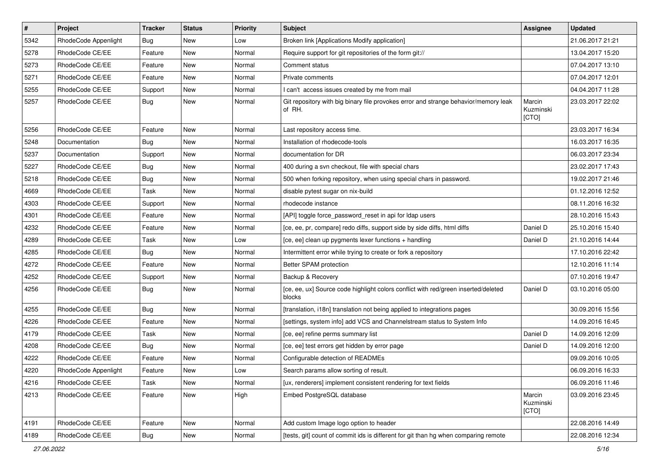| $\pmb{\#}$ | Project              | <b>Tracker</b> | <b>Status</b> | <b>Priority</b> | <b>Subject</b>                                                                                | Assignee                     | <b>Updated</b>   |
|------------|----------------------|----------------|---------------|-----------------|-----------------------------------------------------------------------------------------------|------------------------------|------------------|
| 5342       | RhodeCode Appenlight | Bug            | New           | Low             | Broken link [Applications Modify application]                                                 |                              | 21.06.2017 21:21 |
| 5278       | RhodeCode CE/EE      | Feature        | New           | Normal          | Require support for git repositories of the form git://                                       |                              | 13.04.2017 15:20 |
| 5273       | RhodeCode CE/EE      | Feature        | New           | Normal          | Comment status                                                                                |                              | 07.04.2017 13:10 |
| 5271       | RhodeCode CE/EE      | Feature        | New           | Normal          | Private comments                                                                              |                              | 07.04.2017 12:01 |
| 5255       | RhodeCode CE/EE      | Support        | <b>New</b>    | Normal          | I can't access issues created by me from mail                                                 |                              | 04.04.2017 11:28 |
| 5257       | RhodeCode CE/EE      | Bug            | New           | Normal          | Git repository with big binary file provokes error and strange behavior/memory leak<br>of RH. | Marcin<br>Kuzminski<br>[CTO] | 23.03.2017 22:02 |
| 5256       | RhodeCode CE/EE      | Feature        | <b>New</b>    | Normal          | Last repository access time.                                                                  |                              | 23.03.2017 16:34 |
| 5248       | Documentation        | Bug            | New           | Normal          | Installation of rhodecode-tools                                                               |                              | 16.03.2017 16:35 |
| 5237       | Documentation        | Support        | New           | Normal          | documentation for DR                                                                          |                              | 06.03.2017 23:34 |
| 5227       | RhodeCode CE/EE      | Bug            | New           | Normal          | 400 during a svn checkout, file with special chars                                            |                              | 23.02.2017 17:43 |
| 5218       | RhodeCode CE/EE      | Bug            | <b>New</b>    | Normal          | 500 when forking repository, when using special chars in password.                            |                              | 19.02.2017 21:46 |
| 4669       | RhodeCode CE/EE      | Task           | New           | Normal          | disable pytest sugar on nix-build                                                             |                              | 01.12.2016 12:52 |
| 4303       | RhodeCode CE/EE      | Support        | New           | Normal          | rhodecode instance                                                                            |                              | 08.11.2016 16:32 |
| 4301       | RhodeCode CE/EE      | Feature        | New           | Normal          | [API] toggle force password reset in api for Idap users                                       |                              | 28.10.2016 15:43 |
| 4232       | RhodeCode CE/EE      | Feature        | New           | Normal          | [ce, ee, pr, compare] redo diffs, support side by side diffs, html diffs                      | Daniel D                     | 25.10.2016 15:40 |
| 4289       | RhodeCode CE/EE      | <b>Task</b>    | <b>New</b>    | Low             | [ce, ee] clean up pygments lexer functions + handling                                         | Daniel D                     | 21.10.2016 14:44 |
| 4285       | RhodeCode CE/EE      | Bug            | New           | Normal          | Intermittent error while trying to create or fork a repository                                |                              | 17.10.2016 22:42 |
| 4272       | RhodeCode CE/EE      | Feature        | New           | Normal          | Better SPAM protection                                                                        |                              | 12.10.2016 11:14 |
| 4252       | RhodeCode CE/EE      | Support        | New           | Normal          | Backup & Recovery                                                                             |                              | 07.10.2016 19:47 |
| 4256       | RhodeCode CE/EE      | Bug            | New           | Normal          | [ce, ee, ux] Source code highlight colors conflict with red/green inserted/deleted<br>blocks  | Daniel D                     | 03.10.2016 05:00 |
| 4255       | RhodeCode CE/EE      | Bug            | New           | Normal          | [translation, i18n] translation not being applied to integrations pages                       |                              | 30.09.2016 15:56 |
| 4226       | RhodeCode CE/EE      | Feature        | New           | Normal          | [settings, system info] add VCS and Channelstream status to System Info                       |                              | 14.09.2016 16:45 |
| 4179       | RhodeCode CE/EE      | <b>Task</b>    | <b>New</b>    | Normal          | [ce, ee] refine perms summary list                                                            | Daniel D                     | 14.09.2016 12:09 |
| 4208       | RhodeCode CE/EE      | Bug            | New           | Normal          | [ce, ee] test errors get hidden by error page                                                 | Daniel D                     | 14.09.2016 12:00 |
| 4222       | RhodeCode CE/EE      | Feature        | New           | Normal          | Configurable detection of READMEs                                                             |                              | 09.09.2016 10:05 |
| 4220       | RhodeCode Appenlight | Feature        | New           | Low             | Search params allow sorting of result.                                                        |                              | 06.09.2016 16:33 |
| 4216       | RhodeCode CE/EE      | Task           | New           | Normal          | [ux, renderers] implement consistent rendering for text fields                                |                              | 06.09.2016 11:46 |
| 4213       | RhodeCode CE/EE      | Feature        | New           | High            | Embed PostgreSQL database                                                                     | Marcin<br>Kuzminski<br>[CTO] | 03.09.2016 23:45 |
| 4191       | RhodeCode CE/EE      | Feature        | New           | Normal          | Add custom Image logo option to header                                                        |                              | 22.08.2016 14:49 |
| 4189       | RhodeCode CE/EE      | <b>Bug</b>     | New           | Normal          | [tests, git] count of commit ids is different for git than hg when comparing remote           |                              | 22.08.2016 12:34 |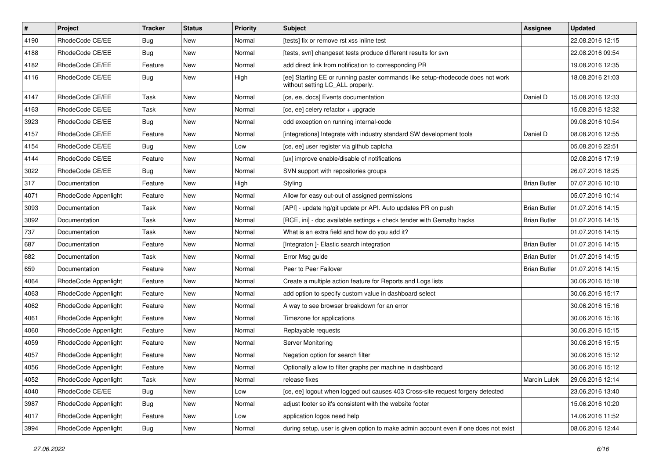| $\pmb{\#}$ | Project              | <b>Tracker</b> | <b>Status</b> | <b>Priority</b> | <b>Subject</b>                                                                                                     | Assignee            | <b>Updated</b>   |
|------------|----------------------|----------------|---------------|-----------------|--------------------------------------------------------------------------------------------------------------------|---------------------|------------------|
| 4190       | RhodeCode CE/EE      | Bug            | New           | Normal          | [tests] fix or remove rst xss inline test                                                                          |                     | 22.08.2016 12:15 |
| 4188       | RhodeCode CE/EE      | Bug            | <b>New</b>    | Normal          | [tests, svn] changeset tests produce different results for svn                                                     |                     | 22.08.2016 09:54 |
| 4182       | RhodeCode CE/EE      | Feature        | New           | Normal          | add direct link from notification to corresponding PR                                                              |                     | 19.08.2016 12:35 |
| 4116       | RhodeCode CE/EE      | Bug            | New           | High            | [ee] Starting EE or running paster commands like setup-rhodecode does not work<br>without setting LC_ALL properly. |                     | 18.08.2016 21:03 |
| 4147       | RhodeCode CE/EE      | Task           | New           | Normal          | [ce, ee, docs] Events documentation                                                                                | Daniel D            | 15.08.2016 12:33 |
| 4163       | RhodeCode CE/EE      | Task           | New           | Normal          | [ce, ee] celery refactor + upgrade                                                                                 |                     | 15.08.2016 12:32 |
| 3923       | RhodeCode CE/EE      | Bug            | New           | Normal          | odd exception on running internal-code                                                                             |                     | 09.08.2016 10:54 |
| 4157       | RhodeCode CE/EE      | Feature        | New           | Normal          | [integrations] Integrate with industry standard SW development tools                                               | Daniel D            | 08.08.2016 12:55 |
| 4154       | RhodeCode CE/EE      | Bug            | <b>New</b>    | Low             | [ce, ee] user register via github captcha                                                                          |                     | 05.08.2016 22:51 |
| 4144       | RhodeCode CE/EE      | Feature        | New           | Normal          | [ux] improve enable/disable of notifications                                                                       |                     | 02.08.2016 17:19 |
| 3022       | RhodeCode CE/EE      | Bug            | New           | Normal          | SVN support with repositories groups                                                                               |                     | 26.07.2016 18:25 |
| 317        | Documentation        | Feature        | <b>New</b>    | High            | Styling                                                                                                            | <b>Brian Butler</b> | 07.07.2016 10:10 |
| 4071       | RhodeCode Appenlight | Feature        | New           | Normal          | Allow for easy out-out of assigned permissions                                                                     |                     | 05.07.2016 10:14 |
| 3093       | Documentation        | Task           | New           | Normal          | [API] - update hg/git update pr API. Auto updates PR on push                                                       | <b>Brian Butler</b> | 01.07.2016 14:15 |
| 3092       | Documentation        | Task           | New           | Normal          | [RCE, ini] - doc available settings + check tender with Gemalto hacks                                              | <b>Brian Butler</b> | 01.07.2016 14:15 |
| 737        | Documentation        | Task           | New           | Normal          | What is an extra field and how do you add it?                                                                      |                     | 01.07.2016 14:15 |
| 687        | Documentation        | Feature        | <b>New</b>    | Normal          | [Integraton] - Elastic search integration                                                                          | <b>Brian Butler</b> | 01.07.2016 14:15 |
| 682        | Documentation        | Task           | New           | Normal          | Error Msg guide                                                                                                    | <b>Brian Butler</b> | 01.07.2016 14:15 |
| 659        | Documentation        | Feature        | New           | Normal          | Peer to Peer Failover                                                                                              | <b>Brian Butler</b> | 01.07.2016 14:15 |
| 4064       | RhodeCode Appenlight | Feature        | New           | Normal          | Create a multiple action feature for Reports and Logs lists                                                        |                     | 30.06.2016 15:18 |
| 4063       | RhodeCode Appenlight | Feature        | New           | Normal          | add option to specify custom value in dashboard select                                                             |                     | 30.06.2016 15:17 |
| 4062       | RhodeCode Appenlight | Feature        | <b>New</b>    | Normal          | A way to see browser breakdown for an error                                                                        |                     | 30.06.2016 15:16 |
| 4061       | RhodeCode Appenlight | Feature        | New           | Normal          | Timezone for applications                                                                                          |                     | 30.06.2016 15:16 |
| 4060       | RhodeCode Appenlight | Feature        | New           | Normal          | Replayable requests                                                                                                |                     | 30.06.2016 15:15 |
| 4059       | RhodeCode Appenlight | Feature        | <b>New</b>    | Normal          | Server Monitoring                                                                                                  |                     | 30.06.2016 15:15 |
| 4057       | RhodeCode Appenlight | Feature        | New           | Normal          | Negation option for search filter                                                                                  |                     | 30.06.2016 15:12 |
| 4056       | RhodeCode Appenlight | Feature        | New           | Normal          | Optionally allow to filter graphs per machine in dashboard                                                         |                     | 30.06.2016 15:12 |
| 4052       | RhodeCode Appenlight | Task           | New           | Normal          | release fixes                                                                                                      | Marcin Lulek        | 29.06.2016 12:14 |
| 4040       | RhodeCode CE/EE      | Bug            | New           | Low             | [ce, ee] logout when logged out causes 403 Cross-site request forgery detected                                     |                     | 23.06.2016 13:40 |
| 3987       | RhodeCode Appenlight | <b>Bug</b>     | New           | Normal          | adjust footer so it's consistent with the website footer                                                           |                     | 15.06.2016 10:20 |
| 4017       | RhodeCode Appenlight | Feature        | New           | Low             | application logos need help                                                                                        |                     | 14.06.2016 11:52 |
| 3994       | RhodeCode Appenlight | <b>Bug</b>     | New           | Normal          | during setup, user is given option to make admin account even if one does not exist                                |                     | 08.06.2016 12:44 |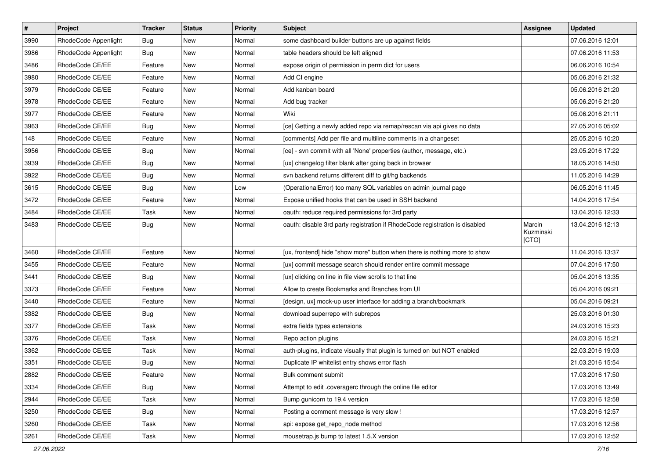| $\sharp$ | Project              | <b>Tracker</b> | <b>Status</b> | Priority | <b>Subject</b>                                                              | <b>Assignee</b>              | <b>Updated</b>   |
|----------|----------------------|----------------|---------------|----------|-----------------------------------------------------------------------------|------------------------------|------------------|
| 3990     | RhodeCode Appenlight | <b>Bug</b>     | New           | Normal   | some dashboard builder buttons are up against fields                        |                              | 07.06.2016 12:01 |
| 3986     | RhodeCode Appenlight | Bug            | <b>New</b>    | Normal   | table headers should be left aligned                                        |                              | 07.06.2016 11:53 |
| 3486     | RhodeCode CE/EE      | Feature        | New           | Normal   | expose origin of permission in perm dict for users                          |                              | 06.06.2016 10:54 |
| 3980     | RhodeCode CE/EE      | Feature        | New           | Normal   | Add CI engine                                                               |                              | 05.06.2016 21:32 |
| 3979     | RhodeCode CE/EE      | Feature        | <b>New</b>    | Normal   | Add kanban board                                                            |                              | 05.06.2016 21:20 |
| 3978     | RhodeCode CE/EE      | Feature        | New           | Normal   | Add bug tracker                                                             |                              | 05.06.2016 21:20 |
| 3977     | RhodeCode CE/EE      | Feature        | New           | Normal   | Wiki                                                                        |                              | 05.06.2016 21:11 |
| 3963     | RhodeCode CE/EE      | Bug            | New           | Normal   | [ce] Getting a newly added repo via remap/rescan via api gives no data      |                              | 27.05.2016 05:02 |
| 148      | RhodeCode CE/EE      | Feature        | <b>New</b>    | Normal   | [comments] Add per file and multiline comments in a changeset               |                              | 25.05.2016 10:20 |
| 3956     | RhodeCode CE/EE      | <b>Bug</b>     | <b>New</b>    | Normal   | [ce] - svn commit with all 'None' properties (author, message, etc.)        |                              | 23.05.2016 17:22 |
| 3939     | RhodeCode CE/EE      | Bug            | New           | Normal   | [ux] changelog filter blank after going back in browser                     |                              | 18.05.2016 14:50 |
| 3922     | RhodeCode CE/EE      | <b>Bug</b>     | New           | Normal   | syn backend returns different diff to git/hg backends                       |                              | 11.05.2016 14:29 |
| 3615     | RhodeCode CE/EE      | <b>Bug</b>     | <b>New</b>    | Low      | (OperationalError) too many SQL variables on admin journal page             |                              | 06.05.2016 11:45 |
| 3472     | RhodeCode CE/EE      | Feature        | <b>New</b>    | Normal   | Expose unified hooks that can be used in SSH backend                        |                              | 14.04.2016 17:54 |
| 3484     | RhodeCode CE/EE      | Task           | New           | Normal   | oauth: reduce required permissions for 3rd party                            |                              | 13.04.2016 12:33 |
| 3483     | RhodeCode CE/EE      | Bug            | New           | Normal   | oauth: disable 3rd party registration if RhodeCode registration is disabled | Marcin<br>Kuzminski<br>[CTO] | 13.04.2016 12:13 |
| 3460     | RhodeCode CE/EE      | Feature        | <b>New</b>    | Normal   | [ux, frontend] hide "show more" button when there is nothing more to show   |                              | 11.04.2016 13:37 |
| 3455     | RhodeCode CE/EE      | Feature        | New           | Normal   | [ux] commit message search should render entire commit message              |                              | 07.04.2016 17:50 |
| 3441     | RhodeCode CE/EE      | Bug            | <b>New</b>    | Normal   | [ux] clicking on line in file view scrolls to that line                     |                              | 05.04.2016 13:35 |
| 3373     | RhodeCode CE/EE      | Feature        | <b>New</b>    | Normal   | Allow to create Bookmarks and Branches from UI                              |                              | 05.04.2016 09:21 |
| 3440     | RhodeCode CE/EE      | Feature        | New           | Normal   | [design, ux] mock-up user interface for adding a branch/bookmark            |                              | 05.04.2016 09:21 |
| 3382     | RhodeCode CE/EE      | Bug            | New           | Normal   | download superrepo with subrepos                                            |                              | 25.03.2016 01:30 |
| 3377     | RhodeCode CE/EE      | Task           | New           | Normal   | extra fields types extensions                                               |                              | 24.03.2016 15:23 |
| 3376     | RhodeCode CE/EE      | Task           | <b>New</b>    | Normal   | Repo action plugins                                                         |                              | 24.03.2016 15:21 |
| 3362     | RhodeCode CE/EE      | Task           | New           | Normal   | auth-plugins, indicate visually that plugin is turned on but NOT enabled    |                              | 22.03.2016 19:03 |
| 3351     | RhodeCode CE/EE      | Bug            | New           | Normal   | Duplicate IP whitelist entry shows error flash                              |                              | 21.03.2016 15:54 |
| 2882     | RhodeCode CE/EE      | Feature        | New           | Normal   | Bulk comment submit                                                         |                              | 17.03.2016 17:50 |
| 3334     | RhodeCode CE/EE      | Bug            | New           | Normal   | Attempt to edit .coveragerc through the online file editor                  |                              | 17.03.2016 13:49 |
| 2944     | RhodeCode CE/EE      | Task           | New           | Normal   | Bump gunicorn to 19.4 version                                               |                              | 17.03.2016 12:58 |
| 3250     | RhodeCode CE/EE      | Bug            | New           | Normal   | Posting a comment message is very slow !                                    |                              | 17.03.2016 12:57 |
| 3260     | RhodeCode CE/EE      | Task           | New           | Normal   | api: expose get_repo_node method                                            |                              | 17.03.2016 12:56 |
| 3261     | RhodeCode CE/EE      | Task           | New           | Normal   | mousetrap.js bump to latest 1.5.X version                                   |                              | 17.03.2016 12:52 |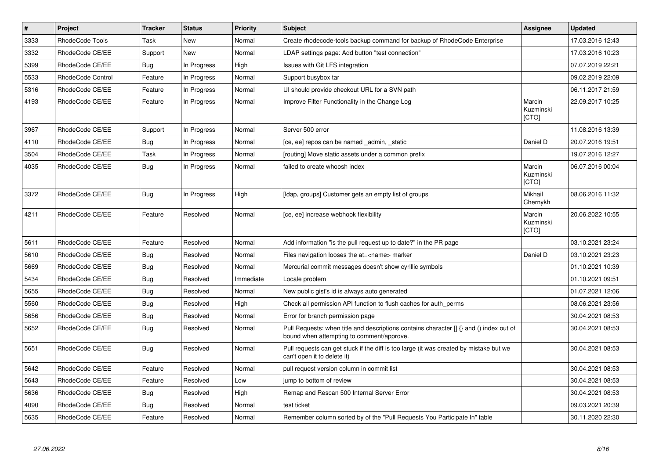| $\vert$ # | Project                  | <b>Tracker</b> | <b>Status</b> | <b>Priority</b> | <b>Subject</b>                                                                                                                       | Assignee                     | <b>Updated</b>   |
|-----------|--------------------------|----------------|---------------|-----------------|--------------------------------------------------------------------------------------------------------------------------------------|------------------------------|------------------|
| 3333      | RhodeCode Tools          | Task           | <b>New</b>    | Normal          | Create rhodecode-tools backup command for backup of RhodeCode Enterprise                                                             |                              | 17.03.2016 12:43 |
| 3332      | RhodeCode CE/EE          | Support        | <b>New</b>    | Normal          | LDAP settings page: Add button "test connection"                                                                                     |                              | 17.03.2016 10:23 |
| 5399      | RhodeCode CE/EE          | Bug            | In Progress   | High            | Issues with Git LFS integration                                                                                                      |                              | 07.07.2019 22:21 |
| 5533      | <b>RhodeCode Control</b> | Feature        | In Progress   | Normal          | Support busybox tar                                                                                                                  |                              | 09.02.2019 22:09 |
| 5316      | RhodeCode CE/EE          | Feature        | In Progress   | Normal          | UI should provide checkout URL for a SVN path                                                                                        |                              | 06.11.2017 21:59 |
| 4193      | RhodeCode CE/EE          | Feature        | In Progress   | Normal          | Improve Filter Functionality in the Change Log                                                                                       | Marcin<br>Kuzminski<br>[CTO] | 22.09.2017 10:25 |
| 3967      | RhodeCode CE/EE          | Support        | In Progress   | Normal          | Server 500 error                                                                                                                     |                              | 11.08.2016 13:39 |
| 4110      | RhodeCode CE/EE          | <b>Bug</b>     | In Progress   | Normal          | [ce, ee] repos can be named _admin, _static                                                                                          | Daniel D                     | 20.07.2016 19:51 |
| 3504      | RhodeCode CE/EE          | Task           | In Progress   | Normal          | [routing] Move static assets under a common prefix                                                                                   |                              | 19.07.2016 12:27 |
| 4035      | RhodeCode CE/EE          | Bug            | In Progress   | Normal          | failed to create whoosh index                                                                                                        | Marcin<br>Kuzminski<br>[CTO] | 06.07.2016 00:04 |
| 3372      | RhodeCode CE/EE          | Bug            | In Progress   | High            | [Idap, groups] Customer gets an empty list of groups                                                                                 | Mikhail<br>Chernykh          | 08.06.2016 11:32 |
| 4211      | RhodeCode CE/EE          | Feature        | Resolved      | Normal          | [ce, ee] increase webhook flexibility                                                                                                | Marcin<br>Kuzminski<br>[CTO] | 20.06.2022 10:55 |
| 5611      | RhodeCode CE/EE          | Feature        | Resolved      | Normal          | Add information "is the pull request up to date?" in the PR page                                                                     |                              | 03.10.2021 23:24 |
| 5610      | RhodeCode CE/EE          | Bug            | Resolved      | Normal          | Files navigation looses the at= <name> marker</name>                                                                                 | Daniel D                     | 03.10.2021 23:23 |
| 5669      | RhodeCode CE/EE          | Bug            | Resolved      | Normal          | Mercurial commit messages doesn't show cyrillic symbols                                                                              |                              | 01.10.2021 10:39 |
| 5434      | RhodeCode CE/EE          | <b>Bug</b>     | Resolved      | Immediate       | Locale problem                                                                                                                       |                              | 01.10.2021 09:51 |
| 5655      | RhodeCode CE/EE          | Bug            | Resolved      | Normal          | New public gist's id is always auto generated                                                                                        |                              | 01.07.2021 12:06 |
| 5560      | RhodeCode CE/EE          | <b>Bug</b>     | Resolved      | High            | Check all permission API function to flush caches for auth perms                                                                     |                              | 08.06.2021 23:56 |
| 5656      | RhodeCode CE/EE          | <b>Bug</b>     | Resolved      | Normal          | Error for branch permission page                                                                                                     |                              | 30.04.2021 08:53 |
| 5652      | RhodeCode CE/EE          | Bug            | Resolved      | Normal          | Pull Requests: when title and descriptions contains character [] {} and () index out of<br>bound when attempting to comment/approve. |                              | 30.04.2021 08:53 |
| 5651      | RhodeCode CE/EE          | Bug            | Resolved      | Normal          | Pull requests can get stuck if the diff is too large (it was created by mistake but we<br>can't open it to delete it)                |                              | 30.04.2021 08:53 |
| 5642      | RhodeCode CE/EE          | Feature        | Resolved      | Normal          | pull request version column in commit list                                                                                           |                              | 30.04.2021 08:53 |
| 5643      | RhodeCode CE/EE          | Feature        | Resolved      | Low             | jump to bottom of review                                                                                                             |                              | 30.04.2021 08:53 |
| 5636      | RhodeCode CE/EE          | Bug            | Resolved      | High            | Remap and Rescan 500 Internal Server Error                                                                                           |                              | 30.04.2021 08:53 |
| 4090      | RhodeCode CE/EE          | Bug            | Resolved      | Normal          | test ticket                                                                                                                          |                              | 09.03.2021 20:39 |
| 5635      | RhodeCode CE/EE          | Feature        | Resolved      | Normal          | Remember column sorted by of the "Pull Requests You Participate In" table                                                            |                              | 30.11.2020 22:30 |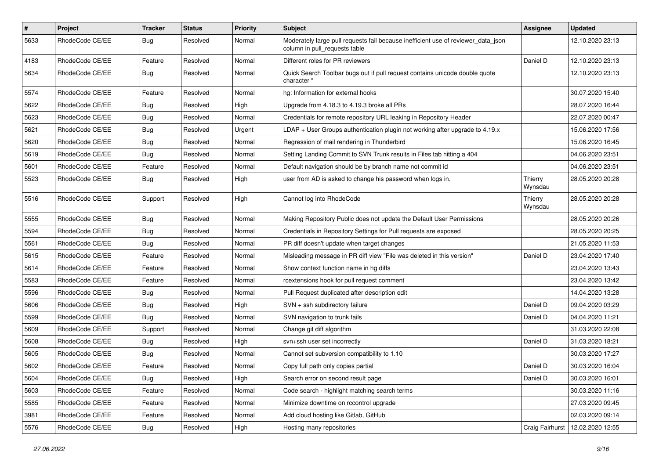| $\pmb{\#}$ | <b>Project</b>  | <b>Tracker</b> | <b>Status</b> | <b>Priority</b> | <b>Subject</b>                                                                                                     | Assignee           | <b>Updated</b>   |
|------------|-----------------|----------------|---------------|-----------------|--------------------------------------------------------------------------------------------------------------------|--------------------|------------------|
| 5633       | RhodeCode CE/EE | <b>Bug</b>     | Resolved      | Normal          | Moderately large pull requests fail because inefficient use of reviewer_data_json<br>column in pull requests table |                    | 12.10.2020 23:13 |
| 4183       | RhodeCode CE/EE | Feature        | Resolved      | Normal          | Different roles for PR reviewers                                                                                   | Daniel D           | 12.10.2020 23:13 |
| 5634       | RhodeCode CE/EE | <b>Bug</b>     | Resolved      | Normal          | Quick Search Toolbar bugs out if pull request contains unicode double quote<br>character "                         |                    | 12.10.2020 23:13 |
| 5574       | RhodeCode CE/EE | Feature        | Resolved      | Normal          | hg: Information for external hooks                                                                                 |                    | 30.07.2020 15:40 |
| 5622       | RhodeCode CE/EE | Bug            | Resolved      | High            | Upgrade from 4.18.3 to 4.19.3 broke all PRs                                                                        |                    | 28.07.2020 16:44 |
| 5623       | RhodeCode CE/EE | Bug            | Resolved      | Normal          | Credentials for remote repository URL leaking in Repository Header                                                 |                    | 22.07.2020 00:47 |
| 5621       | RhodeCode CE/EE | Bug            | Resolved      | Urgent          | LDAP + User Groups authentication plugin not working after upgrade to 4.19.x                                       |                    | 15.06.2020 17:56 |
| 5620       | RhodeCode CE/EE | <b>Bug</b>     | Resolved      | Normal          | Regression of mail rendering in Thunderbird                                                                        |                    | 15.06.2020 16:45 |
| 5619       | RhodeCode CE/EE | <b>Bug</b>     | Resolved      | Normal          | Setting Landing Commit to SVN Trunk results in Files tab hitting a 404                                             |                    | 04.06.2020 23:51 |
| 5601       | RhodeCode CE/EE | Feature        | Resolved      | Normal          | Default navigation should be by branch name not commit id                                                          |                    | 04.06.2020 23:51 |
| 5523       | RhodeCode CE/EE | <b>Bug</b>     | Resolved      | High            | user from AD is asked to change his password when logs in.                                                         | Thierry<br>Wynsdau | 28.05.2020 20:28 |
| 5516       | RhodeCode CE/EE | Support        | Resolved      | High            | Cannot log into RhodeCode                                                                                          | Thierry<br>Wynsdau | 28.05.2020 20:28 |
| 5555       | RhodeCode CE/EE | Bug            | Resolved      | Normal          | Making Repository Public does not update the Default User Permissions                                              |                    | 28.05.2020 20:26 |
| 5594       | RhodeCode CE/EE | Bug            | Resolved      | Normal          | Credentials in Repository Settings for Pull requests are exposed                                                   |                    | 28.05.2020 20:25 |
| 5561       | RhodeCode CE/EE | <b>Bug</b>     | Resolved      | Normal          | PR diff doesn't update when target changes                                                                         |                    | 21.05.2020 11:53 |
| 5615       | RhodeCode CE/EE | Feature        | Resolved      | Normal          | Misleading message in PR diff view "File was deleted in this version"                                              | Daniel D           | 23.04.2020 17:40 |
| 5614       | RhodeCode CE/EE | Feature        | Resolved      | Normal          | Show context function name in hg diffs                                                                             |                    | 23.04.2020 13:43 |
| 5583       | RhodeCode CE/EE | Feature        | Resolved      | Normal          | rcextensions hook for pull request comment                                                                         |                    | 23.04.2020 13:42 |
| 5596       | RhodeCode CE/EE | <b>Bug</b>     | Resolved      | Normal          | Pull Request duplicated after description edit                                                                     |                    | 14.04.2020 13:28 |
| 5606       | RhodeCode CE/EE | <b>Bug</b>     | Resolved      | High            | SVN + ssh subdirectory failure                                                                                     | Daniel D           | 09.04.2020 03:29 |
| 5599       | RhodeCode CE/EE | <b>Bug</b>     | Resolved      | Normal          | SVN navigation to trunk fails                                                                                      | Daniel D           | 04.04.2020 11:21 |
| 5609       | RhodeCode CE/EE | Support        | Resolved      | Normal          | Change git diff algorithm                                                                                          |                    | 31.03.2020 22:08 |
| 5608       | RhodeCode CE/EE | Bug            | Resolved      | High            | svn+ssh user set incorrectly                                                                                       | Daniel D           | 31.03.2020 18:21 |
| 5605       | RhodeCode CE/EE | <b>Bug</b>     | Resolved      | Normal          | Cannot set subversion compatibility to 1.10                                                                        |                    | 30.03.2020 17:27 |
| 5602       | RhodeCode CE/EE | Feature        | Resolved      | Normal          | Copy full path only copies partial                                                                                 | Daniel D           | 30.03.2020 16:04 |
| 5604       | RhodeCode CE/EE | Bug            | Resolved      | High            | Search error on second result page                                                                                 | Daniel D           | 30.03.2020 16:01 |
| 5603       | RhodeCode CE/EE | Feature        | Resolved      | Normal          | Code search - highlight matching search terms                                                                      |                    | 30.03.2020 11:16 |
| 5585       | RhodeCode CE/EE | Feature        | Resolved      | Normal          | Minimize downtime on rccontrol upgrade                                                                             |                    | 27.03.2020 09:45 |
| 3981       | RhodeCode CE/EE | Feature        | Resolved      | Normal          | Add cloud hosting like Gitlab, GitHub                                                                              |                    | 02.03.2020 09:14 |
| 5576       | RhodeCode CE/EE | <b>Bug</b>     | Resolved      | High            | Hosting many repositories                                                                                          | Craig Fairhurst    | 12.02.2020 12:55 |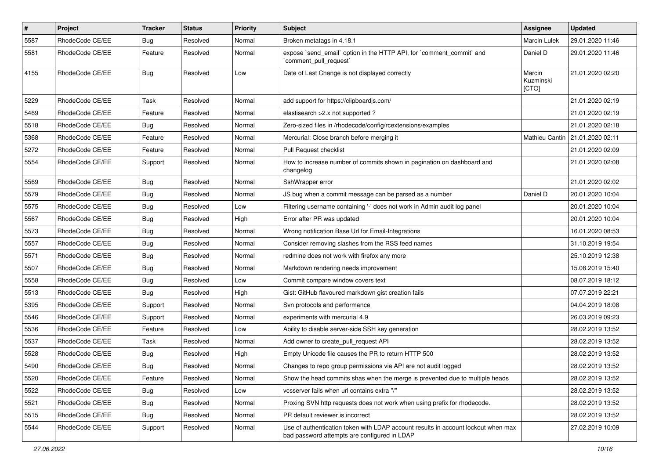| $\pmb{\#}$ | <b>Project</b>  | <b>Tracker</b> | <b>Status</b> | Priority | Subject                                                                                                                           | Assignee                     | <b>Updated</b>                    |
|------------|-----------------|----------------|---------------|----------|-----------------------------------------------------------------------------------------------------------------------------------|------------------------------|-----------------------------------|
| 5587       | RhodeCode CE/EE | <b>Bug</b>     | Resolved      | Normal   | Broken metatags in 4.18.1                                                                                                         | Marcin Lulek                 | 29.01.2020 11:46                  |
| 5581       | RhodeCode CE/EE | Feature        | Resolved      | Normal   | expose `send_email` option in the HTTP API, for `comment_commit` and<br>`comment_pull_request`                                    | Daniel D                     | 29.01.2020 11:46                  |
| 4155       | RhodeCode CE/EE | Bug            | Resolved      | Low      | Date of Last Change is not displayed correctly                                                                                    | Marcin<br>Kuzminski<br>[CTO] | 21.01.2020 02:20                  |
| 5229       | RhodeCode CE/EE | Task           | Resolved      | Normal   | add support for https://clipboardjs.com/                                                                                          |                              | 21.01.2020 02:19                  |
| 5469       | RhodeCode CE/EE | Feature        | Resolved      | Normal   | elastisearch > 2.x not supported ?                                                                                                |                              | 21.01.2020 02:19                  |
| 5518       | RhodeCode CE/EE | <b>Bug</b>     | Resolved      | Normal   | Zero-sized files in /rhodecode/config/rcextensions/examples                                                                       |                              | 21.01.2020 02:18                  |
| 5368       | RhodeCode CE/EE | Feature        | Resolved      | Normal   | Mercurial: Close branch before merging it                                                                                         |                              | Mathieu Cantin   21.01.2020 02:11 |
| 5272       | RhodeCode CE/EE | Feature        | Resolved      | Normal   | Pull Request checklist                                                                                                            |                              | 21.01.2020 02:09                  |
| 5554       | RhodeCode CE/EE | Support        | Resolved      | Normal   | How to increase number of commits shown in pagination on dashboard and<br>changelog                                               |                              | 21.01.2020 02:08                  |
| 5569       | RhodeCode CE/EE | <b>Bug</b>     | Resolved      | Normal   | SshWrapper error                                                                                                                  |                              | 21.01.2020 02:02                  |
| 5579       | RhodeCode CE/EE | Bug            | Resolved      | Normal   | JS bug when a commit message can be parsed as a number                                                                            | Daniel D                     | 20.01.2020 10:04                  |
| 5575       | RhodeCode CE/EE | Bug            | Resolved      | Low      | Filtering username containing '-' does not work in Admin audit log panel                                                          |                              | 20.01.2020 10:04                  |
| 5567       | RhodeCode CE/EE | Bug            | Resolved      | High     | Error after PR was updated                                                                                                        |                              | 20.01.2020 10:04                  |
| 5573       | RhodeCode CE/EE | Bug            | Resolved      | Normal   | Wrong notification Base Url for Email-Integrations                                                                                |                              | 16.01.2020 08:53                  |
| 5557       | RhodeCode CE/EE | Bug            | Resolved      | Normal   | Consider removing slashes from the RSS feed names                                                                                 |                              | 31.10.2019 19:54                  |
| 5571       | RhodeCode CE/EE | <b>Bug</b>     | Resolved      | Normal   | redmine does not work with firefox any more                                                                                       |                              | 25.10.2019 12:38                  |
| 5507       | RhodeCode CE/EE | Bug            | Resolved      | Normal   | Markdown rendering needs improvement                                                                                              |                              | 15.08.2019 15:40                  |
| 5558       | RhodeCode CE/EE | <b>Bug</b>     | Resolved      | Low      | Commit compare window covers text                                                                                                 |                              | 08.07.2019 18:12                  |
| 5513       | RhodeCode CE/EE | <b>Bug</b>     | Resolved      | High     | Gist: GitHub flavoured markdown gist creation fails                                                                               |                              | 07.07.2019 22:21                  |
| 5395       | RhodeCode CE/EE | Support        | Resolved      | Normal   | Svn protocols and performance                                                                                                     |                              | 04.04.2019 18:08                  |
| 5546       | RhodeCode CE/EE | Support        | Resolved      | Normal   | experiments with mercurial 4.9                                                                                                    |                              | 26.03.2019 09:23                  |
| 5536       | RhodeCode CE/EE | Feature        | Resolved      | Low      | Ability to disable server-side SSH key generation                                                                                 |                              | 28.02.2019 13:52                  |
| 5537       | RhodeCode CE/EE | Task           | Resolved      | Normal   | Add owner to create_pull_request API                                                                                              |                              | 28.02.2019 13:52                  |
| 5528       | RhodeCode CE/EE | <b>Bug</b>     | Resolved      | High     | Empty Unicode file causes the PR to return HTTP 500                                                                               |                              | 28.02.2019 13:52                  |
| 5490       | RhodeCode CE/EE | <b>Bug</b>     | Resolved      | Normal   | Changes to repo group permissions via API are not audit logged                                                                    |                              | 28.02.2019 13:52                  |
| 5520       | RhodeCode CE/EE | Feature        | Resolved      | Normal   | Show the head commits shas when the merge is prevented due to multiple heads                                                      |                              | 28.02.2019 13:52                  |
| 5522       | RhodeCode CE/EE | <b>Bug</b>     | Resolved      | Low      | vcsserver fails when url contains extra "/"                                                                                       |                              | 28.02.2019 13:52                  |
| 5521       | RhodeCode CE/EE | <b>Bug</b>     | Resolved      | Normal   | Proxing SVN http requests does not work when using prefix for rhodecode.                                                          |                              | 28.02.2019 13:52                  |
| 5515       | RhodeCode CE/EE | <b>Bug</b>     | Resolved      | Normal   | PR default reviewer is incorrect                                                                                                  |                              | 28.02.2019 13:52                  |
| 5544       | RhodeCode CE/EE | Support        | Resolved      | Normal   | Use of authentication token with LDAP account results in account lockout when max<br>bad password attempts are configured in LDAP |                              | 27.02.2019 10:09                  |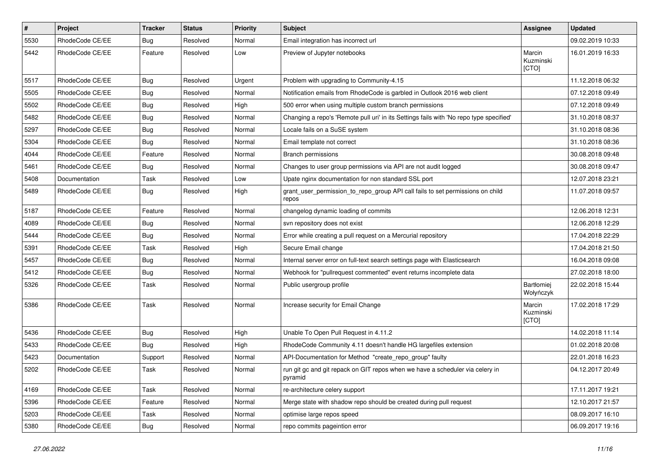| $\pmb{\#}$ | Project         | <b>Tracker</b> | <b>Status</b> | Priority | Subject                                                                                  | Assignee                     | <b>Updated</b>   |
|------------|-----------------|----------------|---------------|----------|------------------------------------------------------------------------------------------|------------------------------|------------------|
| 5530       | RhodeCode CE/EE | <b>Bug</b>     | Resolved      | Normal   | Email integration has incorrect url                                                      |                              | 09.02.2019 10:33 |
| 5442       | RhodeCode CE/EE | Feature        | Resolved      | Low      | Preview of Jupyter notebooks                                                             | Marcin<br>Kuzminski<br>[CTO] | 16.01.2019 16:33 |
| 5517       | RhodeCode CE/EE | Bug            | Resolved      | Urgent   | Problem with upgrading to Community-4.15                                                 |                              | 11.12.2018 06:32 |
| 5505       | RhodeCode CE/EE | <b>Bug</b>     | Resolved      | Normal   | Notification emails from RhodeCode is garbled in Outlook 2016 web client                 |                              | 07.12.2018 09:49 |
| 5502       | RhodeCode CE/EE | Bug            | Resolved      | High     | 500 error when using multiple custom branch permissions                                  |                              | 07.12.2018 09:49 |
| 5482       | RhodeCode CE/EE | Bug            | Resolved      | Normal   | Changing a repo's 'Remote pull uri' in its Settings fails with 'No repo type specified'  |                              | 31.10.2018 08:37 |
| 5297       | RhodeCode CE/EE | Bug            | Resolved      | Normal   | Locale fails on a SuSE system                                                            |                              | 31.10.2018 08:36 |
| 5304       | RhodeCode CE/EE | <b>Bug</b>     | Resolved      | Normal   | Email template not correct                                                               |                              | 31.10.2018 08:36 |
| 4044       | RhodeCode CE/EE | Feature        | Resolved      | Normal   | Branch permissions                                                                       |                              | 30.08.2018 09:48 |
| 5461       | RhodeCode CE/EE | <b>Bug</b>     | Resolved      | Normal   | Changes to user group permissions via API are not audit logged                           |                              | 30.08.2018 09:47 |
| 5408       | Documentation   | Task           | Resolved      | Low      | Upate nginx documentation for non standard SSL port                                      |                              | 12.07.2018 23:21 |
| 5489       | RhodeCode CE/EE | Bug            | Resolved      | High     | grant_user_permission_to_repo_group API call fails to set permissions on child<br>repos  |                              | 11.07.2018 09:57 |
| 5187       | RhodeCode CE/EE | Feature        | Resolved      | Normal   | changelog dynamic loading of commits                                                     |                              | 12.06.2018 12:31 |
| 4089       | RhodeCode CE/EE | Bug            | Resolved      | Normal   | svn repository does not exist                                                            |                              | 12.06.2018 12:29 |
| 5444       | RhodeCode CE/EE | Bug            | Resolved      | Normal   | Error while creating a pull request on a Mercurial repository                            |                              | 17.04.2018 22:29 |
| 5391       | RhodeCode CE/EE | Task           | Resolved      | High     | Secure Email change                                                                      |                              | 17.04.2018 21:50 |
| 5457       | RhodeCode CE/EE | Bug            | Resolved      | Normal   | Internal server error on full-text search settings page with Elasticsearch               |                              | 16.04.2018 09:08 |
| 5412       | RhodeCode CE/EE | Bug            | Resolved      | Normal   | Webhook for "pullrequest commented" event returns incomplete data                        |                              | 27.02.2018 18:00 |
| 5326       | RhodeCode CE/EE | Task           | Resolved      | Normal   | Public usergroup profile                                                                 | Bartłomiej<br>Wołyńczyk      | 22.02.2018 15:44 |
| 5386       | RhodeCode CE/EE | Task           | Resolved      | Normal   | Increase security for Email Change                                                       | Marcin<br>Kuzminski<br>[CTO] | 17.02.2018 17:29 |
| 5436       | RhodeCode CE/EE | <b>Bug</b>     | Resolved      | High     | Unable To Open Pull Request in 4.11.2                                                    |                              | 14.02.2018 11:14 |
| 5433       | RhodeCode CE/EE | <b>Bug</b>     | Resolved      | High     | RhodeCode Community 4.11 doesn't handle HG largefiles extension                          |                              | 01.02.2018 20:08 |
| 5423       | Documentation   | Support        | Resolved      | Normal   | API-Documentation for Method "create_repo_group" faulty                                  |                              | 22.01.2018 16:23 |
| 5202       | RhodeCode CE/EE | Task           | Resolved      | Normal   | run git gc and git repack on GIT repos when we have a scheduler via celery in<br>pyramid |                              | 04.12.2017 20:49 |
| 4169       | RhodeCode CE/EE | Task           | Resolved      | Normal   | re-architecture celery support                                                           |                              | 17.11.2017 19:21 |
| 5396       | RhodeCode CE/EE | Feature        | Resolved      | Normal   | Merge state with shadow repo should be created during pull request                       |                              | 12.10.2017 21:57 |
| 5203       | RhodeCode CE/EE | Task           | Resolved      | Normal   | optimise large repos speed                                                               |                              | 08.09.2017 16:10 |
| 5380       | RhodeCode CE/EE | Bug            | Resolved      | Normal   | repo commits pageintion error                                                            |                              | 06.09.2017 19:16 |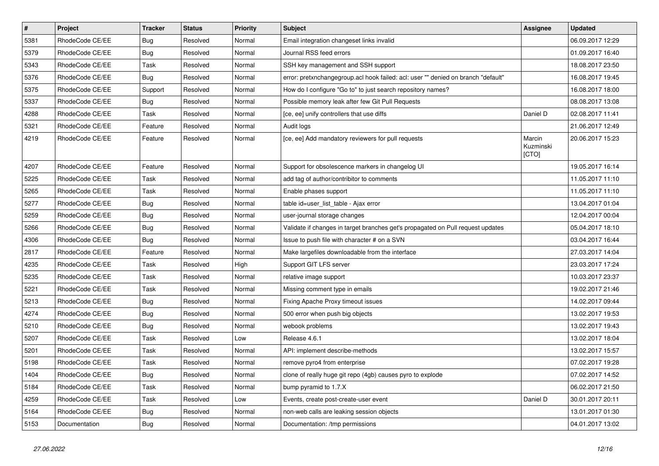| $\overline{\boldsymbol{H}}$ | Project         | <b>Tracker</b> | <b>Status</b> | <b>Priority</b> | <b>Subject</b>                                                                    | Assignee                     | <b>Updated</b>   |
|-----------------------------|-----------------|----------------|---------------|-----------------|-----------------------------------------------------------------------------------|------------------------------|------------------|
| 5381                        | RhodeCode CE/EE | <b>Bug</b>     | Resolved      | Normal          | Email integration changeset links invalid                                         |                              | 06.09.2017 12:29 |
| 5379                        | RhodeCode CE/EE | Bug            | Resolved      | Normal          | Journal RSS feed errors                                                           |                              | 01.09.2017 16:40 |
| 5343                        | RhodeCode CE/EE | Task           | Resolved      | Normal          | SSH key management and SSH support                                                |                              | 18.08.2017 23:50 |
| 5376                        | RhodeCode CE/EE | <b>Bug</b>     | Resolved      | Normal          | error: pretxnchangegroup.acl hook failed: acl: user "" denied on branch "default" |                              | 16.08.2017 19:45 |
| 5375                        | RhodeCode CE/EE | Support        | Resolved      | Normal          | How do I configure "Go to" to just search repository names?                       |                              | 16.08.2017 18:00 |
| 5337                        | RhodeCode CE/EE | Bug            | Resolved      | Normal          | Possible memory leak after few Git Pull Requests                                  |                              | 08.08.2017 13:08 |
| 4288                        | RhodeCode CE/EE | Task           | Resolved      | Normal          | [ce, ee] unify controllers that use diffs                                         | Daniel D                     | 02.08.2017 11:41 |
| 5321                        | RhodeCode CE/EE | Feature        | Resolved      | Normal          | Audit logs                                                                        |                              | 21.06.2017 12:49 |
| 4219                        | RhodeCode CE/EE | Feature        | Resolved      | Normal          | [ce, ee] Add mandatory reviewers for pull requests                                | Marcin<br>Kuzminski<br>[CTO] | 20.06.2017 15:23 |
| 4207                        | RhodeCode CE/EE | Feature        | Resolved      | Normal          | Support for obsolescence markers in changelog UI                                  |                              | 19.05.2017 16:14 |
| 5225                        | RhodeCode CE/EE | Task           | Resolved      | Normal          | add tag of author/contribitor to comments                                         |                              | 11.05.2017 11:10 |
| 5265                        | RhodeCode CE/EE | Task           | Resolved      | Normal          | Enable phases support                                                             |                              | 11.05.2017 11:10 |
| 5277                        | RhodeCode CE/EE | Bug            | Resolved      | Normal          | table id=user_list_table - Ajax error                                             |                              | 13.04.2017 01:04 |
| 5259                        | RhodeCode CE/EE | Bug            | Resolved      | Normal          | user-journal storage changes                                                      |                              | 12.04.2017 00:04 |
| 5266                        | RhodeCode CE/EE | Bug            | Resolved      | Normal          | Validate if changes in target branches get's propagated on Pull request updates   |                              | 05.04.2017 18:10 |
| 4306                        | RhodeCode CE/EE | Bug            | Resolved      | Normal          | Issue to push file with character # on a SVN                                      |                              | 03.04.2017 16:44 |
| 2817                        | RhodeCode CE/EE | Feature        | Resolved      | Normal          | Make largefiles downloadable from the interface                                   |                              | 27.03.2017 14:04 |
| 4235                        | RhodeCode CE/EE | Task           | Resolved      | High            | Support GIT LFS server                                                            |                              | 23.03.2017 17:24 |
| 5235                        | RhodeCode CE/EE | Task           | Resolved      | Normal          | relative image support                                                            |                              | 10.03.2017 23:37 |
| 5221                        | RhodeCode CE/EE | Task           | Resolved      | Normal          | Missing comment type in emails                                                    |                              | 19.02.2017 21:46 |
| 5213                        | RhodeCode CE/EE | Bug            | Resolved      | Normal          | Fixing Apache Proxy timeout issues                                                |                              | 14.02.2017 09:44 |
| 4274                        | RhodeCode CE/EE | Bug            | Resolved      | Normal          | 500 error when push big objects                                                   |                              | 13.02.2017 19:53 |
| 5210                        | RhodeCode CE/EE | Bug            | Resolved      | Normal          | webook problems                                                                   |                              | 13.02.2017 19:43 |
| 5207                        | RhodeCode CE/EE | Task           | Resolved      | Low             | Release 4.6.1                                                                     |                              | 13.02.2017 18:04 |
| 5201                        | RhodeCode CE/EE | Task           | Resolved      | Normal          | API: implement describe-methods                                                   |                              | 13.02.2017 15:57 |
| 5198                        | RhodeCode CE/EE | Task           | Resolved      | Normal          | remove pyro4 from enterprise                                                      |                              | 07.02.2017 19:28 |
| 1404                        | RhodeCode CE/EE | Bug            | Resolved      | Normal          | clone of really huge git repo (4gb) causes pyro to explode                        |                              | 07.02.2017 14:52 |
| 5184                        | RhodeCode CE/EE | Task           | Resolved      | Normal          | bump pyramid to 1.7.X                                                             |                              | 06.02.2017 21:50 |
| 4259                        | RhodeCode CE/EE | Task           | Resolved      | Low             | Events, create post-create-user event                                             | Daniel D                     | 30.01.2017 20:11 |
| 5164                        | RhodeCode CE/EE | <b>Bug</b>     | Resolved      | Normal          | non-web calls are leaking session objects                                         |                              | 13.01.2017 01:30 |
| 5153                        | Documentation   | <b>Bug</b>     | Resolved      | Normal          | Documentation: /tmp permissions                                                   |                              | 04.01.2017 13:02 |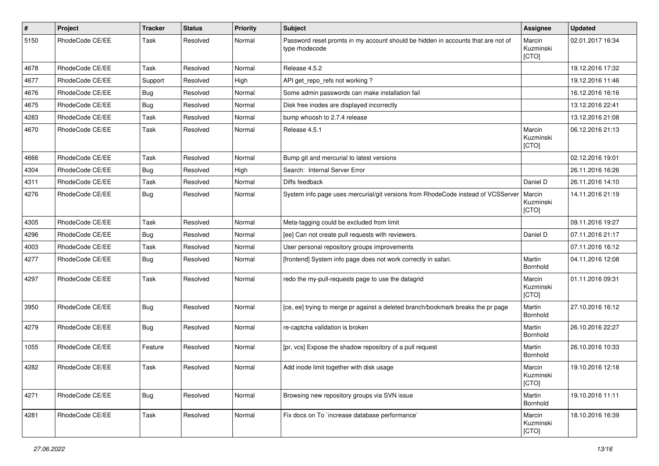| $\pmb{\#}$ | Project         | <b>Tracker</b> | <b>Status</b> | <b>Priority</b> | Subject                                                                                            | Assignee                     | <b>Updated</b>   |
|------------|-----------------|----------------|---------------|-----------------|----------------------------------------------------------------------------------------------------|------------------------------|------------------|
| 5150       | RhodeCode CE/EE | Task           | Resolved      | Normal          | Password reset promts in my account should be hidden in accounts that are not of<br>type rhodecode | Marcin<br>Kuzminski<br>[CTO] | 02.01.2017 16:34 |
| 4678       | RhodeCode CE/EE | Task           | Resolved      | Normal          | Release 4.5.2                                                                                      |                              | 19.12.2016 17:32 |
| 4677       | RhodeCode CE/EE | Support        | Resolved      | High            | API get_repo_refs not working?                                                                     |                              | 19.12.2016 11:46 |
| 4676       | RhodeCode CE/EE | Bug            | Resolved      | Normal          | Some admin passwords can make installation fail                                                    |                              | 16.12.2016 16:16 |
| 4675       | RhodeCode CE/EE | Bug            | Resolved      | Normal          | Disk free inodes are displayed incorrectly                                                         |                              | 13.12.2016 22:41 |
| 4283       | RhodeCode CE/EE | Task           | Resolved      | Normal          | bump whoosh to 2.7.4 release                                                                       |                              | 13.12.2016 21:08 |
| 4670       | RhodeCode CE/EE | Task           | Resolved      | Normal          | Release 4.5.1                                                                                      | Marcin<br>Kuzminski<br>[CTO] | 06.12.2016 21:13 |
| 4666       | RhodeCode CE/EE | Task           | Resolved      | Normal          | Bump git and mercurial to latest versions                                                          |                              | 02.12.2016 19:01 |
| 4304       | RhodeCode CE/EE | Bug            | Resolved      | High            | Search: Internal Server Error                                                                      |                              | 26.11.2016 16:26 |
| 4311       | RhodeCode CE/EE | Task           | Resolved      | Normal          | Diffs feedback                                                                                     | Daniel D                     | 26.11.2016 14:10 |
| 4276       | RhodeCode CE/EE | Bug            | Resolved      | Normal          | System info page uses mercurial/git versions from RhodeCode instead of VCSServer                   | Marcin<br>Kuzminski<br>[CTO] | 14.11.2016 21:19 |
| 4305       | RhodeCode CE/EE | Task           | Resolved      | Normal          | Meta-tagging could be excluded from limit                                                          |                              | 09.11.2016 19:27 |
| 4296       | RhodeCode CE/EE | Bug            | Resolved      | Normal          | [ee] Can not create pull requests with reviewers.                                                  | Daniel D                     | 07.11.2016 21:17 |
| 4003       | RhodeCode CE/EE | Task           | Resolved      | Normal          | User personal repository groups improvements                                                       |                              | 07.11.2016 16:12 |
| 4277       | RhodeCode CE/EE | Bug            | Resolved      | Normal          | [frontend] System info page does not work correctly in safari.                                     | Martin<br>Bornhold           | 04.11.2016 12:08 |
| 4297       | RhodeCode CE/EE | Task           | Resolved      | Normal          | redo the my-pull-requests page to use the datagrid                                                 | Marcin<br>Kuzminski<br>[CTO] | 01.11.2016 09:31 |
| 3950       | RhodeCode CE/EE | <b>Bug</b>     | Resolved      | Normal          | [ce, ee] trying to merge pr against a deleted branch/bookmark breaks the pr page                   | Martin<br>Bornhold           | 27.10.2016 16:12 |
| 4279       | RhodeCode CE/EE | <b>Bug</b>     | Resolved      | Normal          | re-captcha validation is broken                                                                    | Martin<br>Bornhold           | 26.10.2016 22:27 |
| 1055       | RhodeCode CE/EE | Feature        | Resolved      | Normal          | [pr, vcs] Expose the shadow repository of a pull request                                           | Martin<br>Bornhold           | 26.10.2016 10:33 |
| 4282       | RhodeCode CE/EE | Task           | Resolved      | Normal          | Add inode limit together with disk usage                                                           | Marcin<br>Kuzminski<br>[CTO] | 19.10.2016 12:18 |
| 4271       | RhodeCode CE/EE | Bug            | Resolved      | Normal          | Browsing new repository groups via SVN issue                                                       | Martin<br>Bornhold           | 19.10.2016 11:11 |
| 4281       | RhodeCode CE/EE | Task           | Resolved      | Normal          | Fix docs on To `increase database performance`                                                     | Marcin<br>Kuzminski<br>[CTO] | 18.10.2016 16:39 |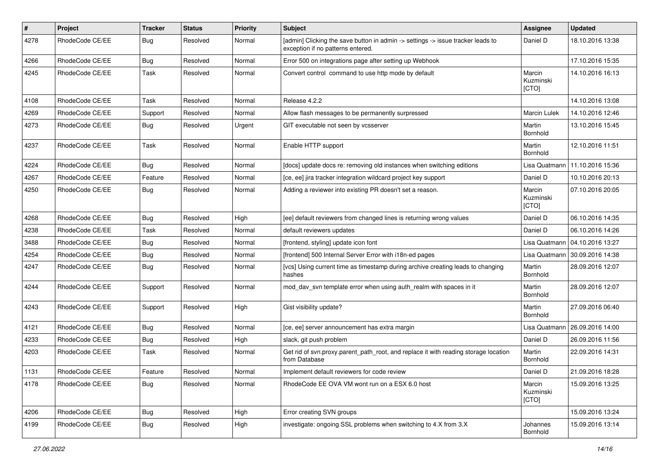| #    | Project         | <b>Tracker</b> | <b>Status</b> | <b>Priority</b> | Subject                                                                                                              | <b>Assignee</b>              | <b>Updated</b>   |
|------|-----------------|----------------|---------------|-----------------|----------------------------------------------------------------------------------------------------------------------|------------------------------|------------------|
| 4278 | RhodeCode CE/EE | Bug            | Resolved      | Normal          | [admin] Clicking the save button in admin -> settings -> issue tracker leads to<br>exception if no patterns entered. | Daniel D                     | 18.10.2016 13:38 |
| 4266 | RhodeCode CE/EE | Bug            | Resolved      | Normal          | Error 500 on integrations page after setting up Webhook                                                              |                              | 17.10.2016 15:35 |
| 4245 | RhodeCode CE/EE | Task           | Resolved      | Normal          | Convert control command to use http mode by default                                                                  | Marcin<br>Kuzminski<br>[CTO] | 14.10.2016 16:13 |
| 4108 | RhodeCode CE/EE | Task           | Resolved      | Normal          | Release 4.2.2                                                                                                        |                              | 14.10.2016 13:08 |
| 4269 | RhodeCode CE/EE | Support        | Resolved      | Normal          | Allow flash messages to be permanently surpressed                                                                    | <b>Marcin Lulek</b>          | 14.10.2016 12:46 |
| 4273 | RhodeCode CE/EE | <b>Bug</b>     | Resolved      | Urgent          | GIT executable not seen by vcsserver                                                                                 | Martin<br>Bornhold           | 13.10.2016 15:45 |
| 4237 | RhodeCode CE/EE | Task           | Resolved      | Normal          | Enable HTTP support                                                                                                  | Martin<br>Bornhold           | 12.10.2016 11:51 |
| 4224 | RhodeCode CE/EE | Bug            | Resolved      | Normal          | [docs] update docs re: removing old instances when switching editions                                                | Lisa Quatmann                | 11.10.2016 15:36 |
| 4267 | RhodeCode CE/EE | Feature        | Resolved      | Normal          | [ce, ee] jira tracker integration wildcard project key support                                                       | Daniel D                     | 10.10.2016 20:13 |
| 4250 | RhodeCode CE/EE | Bug            | Resolved      | Normal          | Adding a reviewer into existing PR doesn't set a reason.                                                             | Marcin<br>Kuzminski<br>[CTO] | 07.10.2016 20:05 |
| 4268 | RhodeCode CE/EE | Bug            | Resolved      | High            | [ee] default reviewers from changed lines is returning wrong values                                                  | Daniel D                     | 06.10.2016 14:35 |
| 4238 | RhodeCode CE/EE | Task           | Resolved      | Normal          | default reviewers updates                                                                                            | Daniel D                     | 06.10.2016 14:26 |
| 3488 | RhodeCode CE/EE | Bug            | Resolved      | Normal          | [frontend, styling] update icon font                                                                                 | Lisa Quatmann                | 04.10.2016 13:27 |
| 4254 | RhodeCode CE/EE | <b>Bug</b>     | Resolved      | Normal          | [frontend] 500 Internal Server Error with i18n-ed pages                                                              | Lisa Quatmann                | 30.09.2016 14:38 |
| 4247 | RhodeCode CE/EE | Bug            | Resolved      | Normal          | [vcs] Using current time as timestamp during archive creating leads to changing<br>hashes                            | Martin<br>Bornhold           | 28.09.2016 12:07 |
| 4244 | RhodeCode CE/EE | Support        | Resolved      | Normal          | mod_dav_svn template error when using auth_realm with spaces in it                                                   | Martin<br>Bornhold           | 28.09.2016 12:07 |
| 4243 | RhodeCode CE/EE | Support        | Resolved      | High            | Gist visibility update?                                                                                              | Martin<br>Bornhold           | 27.09.2016 06:40 |
| 4121 | RhodeCode CE/EE | Bug            | Resolved      | Normal          | [ce, ee] server announcement has extra margin                                                                        | Lisa Quatmann                | 26.09.2016 14:00 |
| 4233 | RhodeCode CE/EE | Bug            | Resolved      | High            | slack, git push problem                                                                                              | Daniel D                     | 26.09.2016 11:56 |
| 4203 | RhodeCode CE/EE | Task           | Resolved      | Normal          | Get rid of svn.proxy.parent_path_root, and replace it with reading storage location<br>from Database                 | Martin<br>Bornhold           | 22.09.2016 14:31 |
| 1131 | RhodeCode CE/EE | Feature        | Resolved      | Normal          | Implement default reviewers for code review                                                                          | Daniel D                     | 21.09.2016 18:28 |
| 4178 | RhodeCode CE/EE | Bug            | Resolved      | Normal          | RhodeCode EE OVA VM wont run on a ESX 6.0 host                                                                       | Marcin<br>Kuzminski<br>[CTO] | 15.09.2016 13:25 |
| 4206 | RhodeCode CE/EE | <b>Bug</b>     | Resolved      | High            | Error creating SVN groups                                                                                            |                              | 15.09.2016 13:24 |
| 4199 | RhodeCode CE/EE | Bug            | Resolved      | High            | investigate: ongoing SSL problems when switching to 4.X from 3.X                                                     | Johannes<br>Bornhold         | 15.09.2016 13:14 |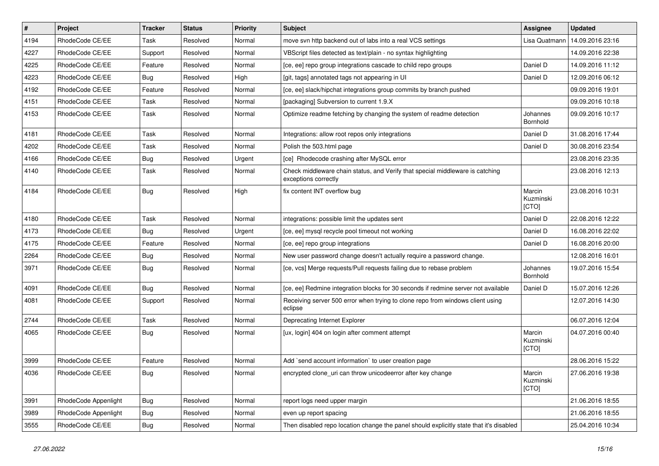| $\pmb{\#}$ | Project              | <b>Tracker</b> | <b>Status</b> | <b>Priority</b> | <b>Subject</b>                                                                                        | Assignee                     | <b>Updated</b>   |
|------------|----------------------|----------------|---------------|-----------------|-------------------------------------------------------------------------------------------------------|------------------------------|------------------|
| 4194       | RhodeCode CE/EE      | Task           | Resolved      | Normal          | move svn http backend out of labs into a real VCS settings                                            | Lisa Quatmann                | 14.09.2016 23:16 |
| 4227       | RhodeCode CE/EE      | Support        | Resolved      | Normal          | VBScript files detected as text/plain - no syntax highlighting                                        |                              | 14.09.2016 22:38 |
| 4225       | RhodeCode CE/EE      | Feature        | Resolved      | Normal          | [ce, ee] repo group integrations cascade to child repo groups                                         | Daniel D                     | 14.09.2016 11:12 |
| 4223       | RhodeCode CE/EE      | <b>Bug</b>     | Resolved      | High            | [git, tags] annotated tags not appearing in UI                                                        | Daniel D                     | 12.09.2016 06:12 |
| 4192       | RhodeCode CE/EE      | Feature        | Resolved      | Normal          | [ce, ee] slack/hipchat integrations group commits by branch pushed                                    |                              | 09.09.2016 19:01 |
| 4151       | RhodeCode CE/EE      | Task           | Resolved      | Normal          | [packaging] Subversion to current 1.9.X                                                               |                              | 09.09.2016 10:18 |
| 4153       | RhodeCode CE/EE      | Task           | Resolved      | Normal          | Optimize readme fetching by changing the system of readme detection                                   | Johannes<br>Bornhold         | 09.09.2016 10:17 |
| 4181       | RhodeCode CE/EE      | Task           | Resolved      | Normal          | Integrations: allow root repos only integrations                                                      | Daniel D                     | 31.08.2016 17:44 |
| 4202       | RhodeCode CE/EE      | Task           | Resolved      | Normal          | Polish the 503.html page                                                                              | Daniel D                     | 30.08.2016 23:54 |
| 4166       | RhodeCode CE/EE      | <b>Bug</b>     | Resolved      | Urgent          | [ce] Rhodecode crashing after MySQL error                                                             |                              | 23.08.2016 23:35 |
| 4140       | RhodeCode CE/EE      | Task           | Resolved      | Normal          | Check middleware chain status, and Verify that special middleware is catching<br>exceptions correctly |                              | 23.08.2016 12:13 |
| 4184       | RhodeCode CE/EE      | Bug            | Resolved      | High            | fix content INT overflow bug                                                                          | Marcin<br>Kuzminski<br>[CTO] | 23.08.2016 10:31 |
| 4180       | RhodeCode CE/EE      | Task           | Resolved      | Normal          | integrations: possible limit the updates sent                                                         | Daniel D                     | 22.08.2016 12:22 |
| 4173       | RhodeCode CE/EE      | <b>Bug</b>     | Resolved      | Urgent          | [ce, ee] mysql recycle pool timeout not working                                                       | Daniel D                     | 16.08.2016 22:02 |
| 4175       | RhodeCode CE/EE      | Feature        | Resolved      | Normal          | [ce, ee] repo group integrations                                                                      | Daniel D                     | 16.08.2016 20:00 |
| 2264       | RhodeCode CE/EE      | <b>Bug</b>     | Resolved      | Normal          | New user password change doesn't actually require a password change.                                  |                              | 12.08.2016 16:01 |
| 3971       | RhodeCode CE/EE      | <b>Bug</b>     | Resolved      | Normal          | [ce, vcs] Merge requests/Pull requests failing due to rebase problem                                  | Johannes<br>Bornhold         | 19.07.2016 15:54 |
| 4091       | RhodeCode CE/EE      | Bug            | Resolved      | Normal          | [ce, ee] Redmine integration blocks for 30 seconds if redmine server not available                    | Daniel D                     | 15.07.2016 12:26 |
| 4081       | RhodeCode CE/EE      | Support        | Resolved      | Normal          | Receiving server 500 error when trying to clone repo from windows client using<br>eclipse             |                              | 12.07.2016 14:30 |
| 2744       | RhodeCode CE/EE      | Task           | Resolved      | Normal          | Deprecating Internet Explorer                                                                         |                              | 06.07.2016 12:04 |
| 4065       | RhodeCode CE/EE      | Bug            | Resolved      | Normal          | [ux, login] 404 on login after comment attempt                                                        | Marcin<br>Kuzminski<br>[CTO] | 04.07.2016 00:40 |
| 3999       | RhodeCode CE/EE      | Feature        | Resolved      | Normal          | Add `send account information` to user creation page                                                  |                              | 28.06.2016 15:22 |
| 4036       | RhodeCode CE/EE      | <b>Bug</b>     | Resolved      | Normal          | encrypted clone_uri can throw unicodeerror after key change                                           | Marcin<br>Kuzminski<br>[CTO] | 27.06.2016 19:38 |
| 3991       | RhodeCode Appenlight | Bug            | Resolved      | Normal          | report logs need upper margin                                                                         |                              | 21.06.2016 18:55 |
| 3989       | RhodeCode Appenlight | <b>Bug</b>     | Resolved      | Normal          | even up report spacing                                                                                |                              | 21.06.2016 18:55 |
| 3555       | RhodeCode CE/EE      | <b>Bug</b>     | Resolved      | Normal          | Then disabled repo location change the panel should explicitly state that it's disabled               |                              | 25.04.2016 10:34 |